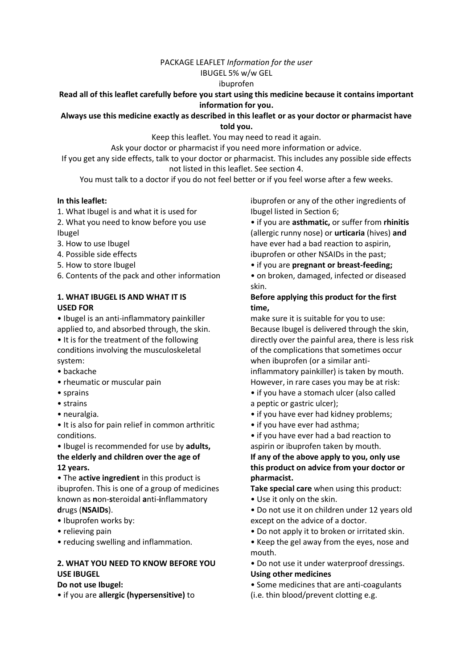### PACKAGE LEAFLET *Information for the user*

### IBUGEL 5% w/w GEL

### ibuprofen

## **Read all of this leaflet carefully before you start using this medicine because it contains important information for you.**

## **Always use this medicine exactly as described in this leaflet or as your doctor or pharmacist have told you.**

Keep this leaflet. You may need to read it again.

Ask your doctor or pharmacist if you need more information or advice.

If you get any side effects, talk to your doctor or pharmacist. This includes any possible side effects not listed in this leaflet. See section 4.

You must talk to a doctor if you do not feel better or if you feel worse after a few weeks.

## **In this leaflet:**

- 1. What Ibugel is and what it is used for
- 2. What you need to know before you use Ibugel
- 3. How to use Ibugel
- 4. Possible side effects
- 5. How to store Ibugel
- 6. Contents of the pack and other information

## **1. WHAT IBUGEL IS AND WHAT IT IS USED FOR**

- Ibugel is an anti-inflammatory painkiller applied to, and absorbed through, the skin.
- It is for the treatment of the following conditions involving the musculoskeletal system:
- backache
- rheumatic or muscular pain
- sprains
- strains
- neuralgia.

• It is also for pain relief in common arthritic conditions.

• Ibugel is recommended for use by **adults, the elderly and children over the age of 12 years.**

• The **active ingredient** in this product is ibuprofen. This is one of a group of medicines known as **n**on-**s**teroidal **a**nti-**i**nflammatory **d**rugs (**NSAIDs**).

- Ibuprofen works by:
- relieving pain
- reducing swelling and inflammation.

# **2. WHAT YOU NEED TO KNOW BEFORE YOU USE IBUGEL**

### **Do not use Ibugel:**

• if you are **allergic (hypersensitive)** to

ibuprofen or any of the other ingredients of Ibugel listed in Section 6;

• if you are **asthmatic,** or suffer from **rhinitis** (allergic runny nose) or **urticaria** (hives) **and** have ever had a bad reaction to aspirin, ibuprofen or other NSAIDs in the past;

• if you are **pregnant or breast-feeding;**

• on broken, damaged, infected or diseased skin.

# **Before applying this product for the first time,**

make sure it is suitable for you to use: Because Ibugel is delivered through the skin, directly over the painful area, there is less risk of the complications that sometimes occur when ibuprofen (or a similar antiinflammatory painkiller) is taken by mouth. However, in rare cases you may be at risk:

• if you have a stomach ulcer (also called

- a peptic or gastric ulcer);
- if you have ever had kidney problems;
- if you have ever had asthma;
- if you have ever had a bad reaction to aspirin or ibuprofen taken by mouth.

**If any of the above apply to you, only use this product on advice from your doctor or pharmacist.**

**Take special care** when using this product:

- Use it only on the skin.
- Do not use it on children under 12 years old except on the advice of a doctor.
- Do not apply it to broken or irritated skin.
- Keep the gel away from the eyes, nose and mouth.
- Do not use it under waterproof dressings. **Using other medicines**
- Some medicines that are anti-coagulants (i.e. thin blood/prevent clotting e.g.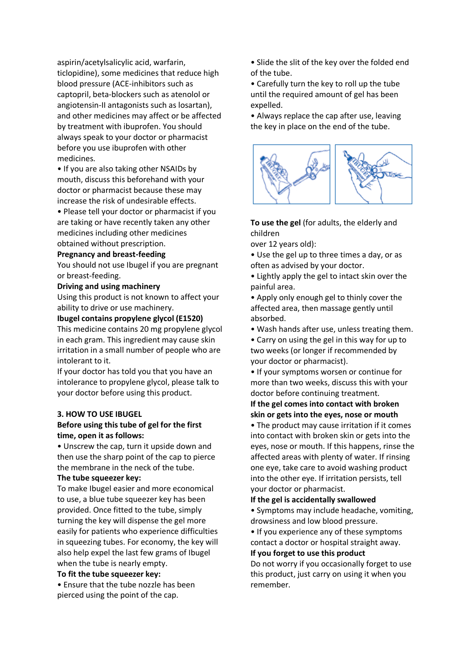aspirin/acetylsalicylic acid, warfarin, ticlopidine), some medicines that reduce high blood pressure (ACE-inhibitors such as captopril, beta-blockers such as atenolol or angiotensin-II antagonists such as losartan), and other medicines may affect or be affected by treatment with ibuprofen. You should always speak to your doctor or pharmacist before you use ibuprofen with other medicines.

• If you are also taking other NSAIDs by mouth, discuss this beforehand with your doctor or pharmacist because these may increase the risk of undesirable effects.

• Please tell your doctor or pharmacist if you are taking or have recently taken any other medicines including other medicines obtained without prescription.

#### **Pregnancy and breast-feeding**

You should not use Ibugel if you are pregnant or breast-feeding.

### **Driving and using machinery**

Using this product is not known to affect your ability to drive or use machinery.

**Ibugel contains propylene glycol (E1520)** 

This medicine contains 20 mg propylene glycol in each gram. This ingredient may cause skin irritation in a small number of people who are intolerant to it.

If your doctor has told you that you have an intolerance to propylene glycol, please talk to your doctor before using this product.

#### **3. HOW TO USE IBUGEL**

### **Before using this tube of gel for the first time, open it as follows:**

• Unscrew the cap, turn it upside down and then use the sharp point of the cap to pierce the membrane in the neck of the tube.

### **The tube squeezer key:**

To make Ibugel easier and more economical to use, a blue tube squeezer key has been provided. Once fitted to the tube, simply turning the key will dispense the gel more easily for patients who experience difficulties in squeezing tubes. For economy, the key will also help expel the last few grams of Ibugel when the tube is nearly empty.

#### **To fit the tube squeezer key:**

• Ensure that the tube nozzle has been pierced using the point of the cap.

• Slide the slit of the key over the folded end of the tube.

• Carefully turn the key to roll up the tube until the required amount of gel has been expelled.

• Always replace the cap after use, leaving the key in place on the end of the tube.



## **To use the gel** (for adults, the elderly and children

over 12 years old):

• Use the gel up to three times a day, or as often as advised by your doctor.

• Lightly apply the gel to intact skin over the painful area.

• Apply only enough gel to thinly cover the affected area, then massage gently until absorbed.

• Wash hands after use, unless treating them.

• Carry on using the gel in this way for up to two weeks (or longer if recommended by your doctor or pharmacist).

• If your symptoms worsen or continue for more than two weeks, discuss this with your doctor before continuing treatment.

## **If the gel comes into contact with broken skin or gets into the eyes, nose or mouth**

• The product may cause irritation if it comes into contact with broken skin or gets into the eyes, nose or mouth. If this happens, rinse the affected areas with plenty of water. If rinsing one eye, take care to avoid washing product into the other eye. If irritation persists, tell your doctor or pharmacist.

### **If the gel is accidentally swallowed**

• Symptoms may include headache, vomiting, drowsiness and low blood pressure.

• If you experience any of these symptoms contact a doctor or hospital straight away. **If you forget to use this product**

Do not worry if you occasionally forget to use this product, just carry on using it when you remember.